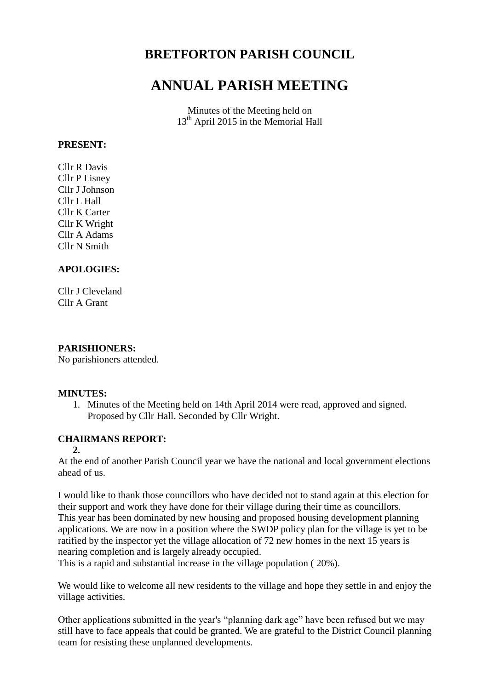## **BRETFORTON PARISH COUNCIL**

# **ANNUAL PARISH MEETING**

Minutes of the Meeting held on 13<sup>th</sup> April 2015 in the Memorial Hall

## **PRESENT:**

Cllr R Davis Cllr P Lisney Cllr J Johnson Cllr L Hall Cllr K Carter Cllr K Wright Cllr A Adams Cllr N Smith

## **APOLOGIES:**

Cllr J Cleveland Cllr A Grant

### **PARISHIONERS:**

No parishioners attended.

#### **MINUTES:**

1. Minutes of the Meeting held on 14th April 2014 were read, approved and signed. Proposed by Cllr Hall. Seconded by Cllr Wright.

## **CHAIRMANS REPORT:**

#### **2.**

At the end of another Parish Council year we have the national and local government elections ahead of us.

I would like to thank those councillors who have decided not to stand again at this election for their support and work they have done for their village during their time as councillors. This year has been dominated by new housing and proposed housing development planning applications. We are now in a position where the SWDP policy plan for the village is yet to be ratified by the inspector yet the village allocation of 72 new homes in the next 15 years is nearing completion and is largely already occupied.

This is a rapid and substantial increase in the village population ( 20%).

We would like to welcome all new residents to the village and hope they settle in and enjoy the village activities.

Other applications submitted in the year's "planning dark age" have been refused but we may still have to face appeals that could be granted. We are grateful to the District Council planning team for resisting these unplanned developments.